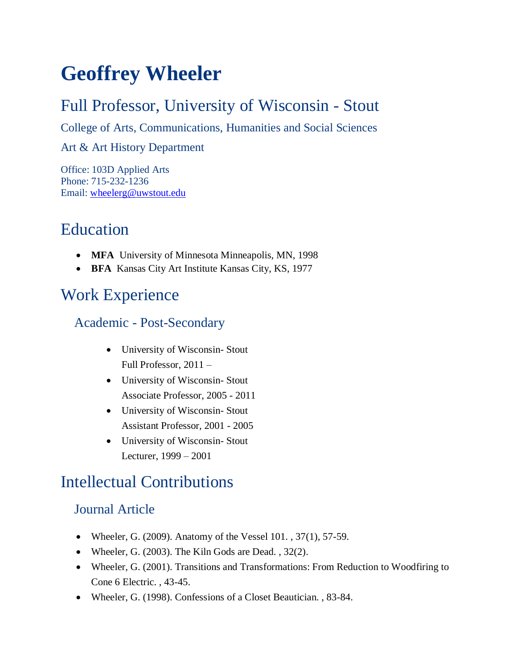# **Geoffrey Wheeler**

### Full Professor, University of Wisconsin - Stout

College of Arts, Communications, Humanities and Social Sciences

#### Art & Art History Department

Office: 103D Applied Arts Phone: 715-232-1236 Email: [wheelerg@uwstout.edu](mailto:wheelerg@uwstout.edu)

### Education

- **MFA** University of Minnesota Minneapolis, MN, 1998
- **BFA** Kansas City Art Institute Kansas City, KS, 1977

## Work Experience

#### Academic - Post-Secondary

- University of Wisconsin- Stout Full Professor, 2011 –
- University of Wisconsin- Stout Associate Professor, 2005 - 2011
- University of Wisconsin- Stout Assistant Professor, 2001 - 2005
- University of Wisconsin- Stout Lecturer, 1999 – 2001

## Intellectual Contributions

#### Journal Article

- Wheeler, G. (2009). Anatomy of the Vessel 101., 37(1), 57-59.
- Wheeler, G. (2003). The Kiln Gods are Dead., 32(2).
- Wheeler, G. (2001). Transitions and Transformations: From Reduction to Woodfiring to Cone 6 Electric. , 43-45.
- Wheeler, G. (1998). Confessions of a Closet Beautician. , 83-84.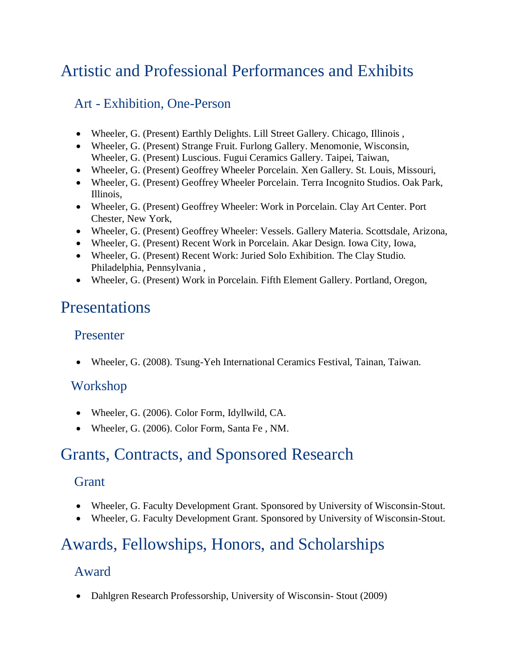### Artistic and Professional Performances and Exhibits

#### Art - Exhibition, One-Person

- Wheeler, G. (Present) Earthly Delights. Lill Street Gallery. Chicago, Illinois ,
- Wheeler, G. (Present) Strange Fruit. Furlong Gallery. Menomonie, Wisconsin, Wheeler, G. (Present) Luscious. Fugui Ceramics Gallery. Taipei, Taiwan,
- Wheeler, G. (Present) Geoffrey Wheeler Porcelain. Xen Gallery. St. Louis, Missouri,
- Wheeler, G. (Present) Geoffrey Wheeler Porcelain. Terra Incognito Studios. Oak Park, Illinois,
- Wheeler, G. (Present) Geoffrey Wheeler: Work in Porcelain. Clay Art Center. Port Chester, New York,
- Wheeler, G. (Present) Geoffrey Wheeler: Vessels. Gallery Materia. Scottsdale, Arizona,
- Wheeler, G. (Present) Recent Work in Porcelain. Akar Design. Iowa City, Iowa,
- Wheeler, G. (Present) Recent Work: Juried Solo Exhibition. The Clay Studio. Philadelphia, Pennsylvania ,
- Wheeler, G. (Present) Work in Porcelain. Fifth Element Gallery. Portland, Oregon,

### Presentations

#### Presenter

• Wheeler, G. (2008). Tsung-Yeh International Ceramics Festival, Tainan, Taiwan.

#### Workshop

- Wheeler, G. (2006). Color Form, Idyllwild, CA.
- Wheeler, G. (2006). Color Form, Santa Fe, NM.

## Grants, Contracts, and Sponsored Research

#### Grant

- Wheeler, G. Faculty Development Grant. Sponsored by University of Wisconsin-Stout.
- Wheeler, G. Faculty Development Grant. Sponsored by University of Wisconsin-Stout.

# Awards, Fellowships, Honors, and Scholarships

#### Award

• Dahlgren Research Professorship, University of Wisconsin-Stout (2009)